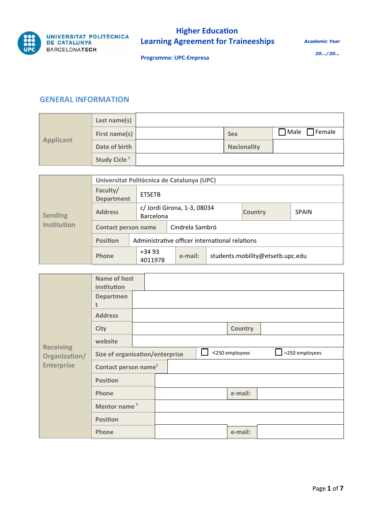

*Academic Year* 

**Programme: UPC-Empresa**

*20…/20…*

#### **GENERAL INFORMATION**

| <b>Applicant</b> | Last name(s)             |                    |                     |
|------------------|--------------------------|--------------------|---------------------|
|                  | First name(s)            | <b>Sex</b>         | $7$ Male $7$ Female |
|                  | Date of birth            | <b>Nacionality</b> |                     |
|                  | Study Cicle <sup>1</sup> |                    |                     |

| <b>Sending</b> | Universitat Politècnica de Catalunya (UPC) |                                                 |                                                |  |                                  |              |  |
|----------------|--------------------------------------------|-------------------------------------------------|------------------------------------------------|--|----------------------------------|--------------|--|
|                | Faculty/<br><b>Department</b>              | <b>FTSFTB</b>                                   |                                                |  |                                  |              |  |
|                | <b>Address</b>                             | c/ Jordi Girona, 1-3, 08034<br><b>Barcelona</b> |                                                |  | <b>Country</b>                   | <b>SPAIN</b> |  |
| Institution    | <b>Contact person name</b>                 |                                                 | Cindrela Sambró                                |  |                                  |              |  |
|                | <b>Position</b>                            |                                                 | Administrative officer international relations |  |                                  |              |  |
|                | Phone                                      | $+3493$<br>e-mail:<br>4011978                   |                                                |  | students.mobility@etsetb.upc.edu |              |  |

|                                   | Name of host<br>institution      |  |                |                |
|-----------------------------------|----------------------------------|--|----------------|----------------|
|                                   | <b>Departmen</b><br>t            |  |                |                |
|                                   | <b>Address</b>                   |  |                |                |
|                                   | <b>City</b>                      |  | <b>Country</b> |                |
|                                   | website                          |  |                |                |
| <b>Receiving</b><br>Organization/ | Size of organisation/enterprise  |  | <250 employees | >250 employees |
| <b>Enterprise</b>                 | Contact person name <sup>2</sup> |  |                |                |
|                                   | <b>Position</b>                  |  |                |                |
|                                   | Phone                            |  | e-mail:        |                |
|                                   | Mentor name <sup>3</sup>         |  |                |                |
|                                   | <b>Position</b>                  |  |                |                |
|                                   | Phone                            |  | e-mail:        |                |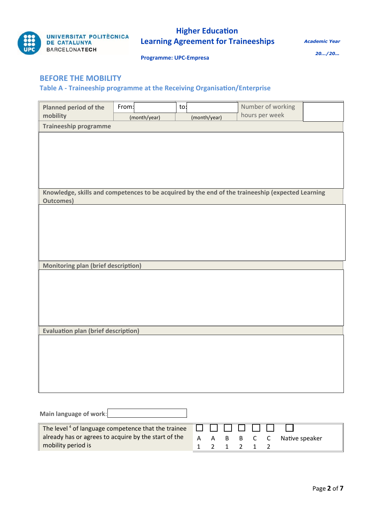

mobility period is

# **Higher Education Learning Agreement for Traineeships**

*Academic Year* 

**Programme: UPC-Empresa**

*20…/20…*

### **BEFORE THE MOBILITY**

**Table A - Traineeship programme at the Receiving Organisation/Enterprise**

| <b>Planned period of the</b>                                                                      | From:        | to:          | Number of working<br>hours per week |  |
|---------------------------------------------------------------------------------------------------|--------------|--------------|-------------------------------------|--|
| mobility                                                                                          | (month/year) | (month/year) |                                     |  |
| <b>Traineeship programme</b>                                                                      |              |              |                                     |  |
|                                                                                                   |              |              |                                     |  |
|                                                                                                   |              |              |                                     |  |
|                                                                                                   |              |              |                                     |  |
|                                                                                                   |              |              |                                     |  |
|                                                                                                   |              |              |                                     |  |
|                                                                                                   |              |              |                                     |  |
| Knowledge, skills and competences to be acquired by the end of the traineeship (expected Learning |              |              |                                     |  |
| <b>Outcomes)</b>                                                                                  |              |              |                                     |  |
|                                                                                                   |              |              |                                     |  |
|                                                                                                   |              |              |                                     |  |
|                                                                                                   |              |              |                                     |  |
|                                                                                                   |              |              |                                     |  |
|                                                                                                   |              |              |                                     |  |
|                                                                                                   |              |              |                                     |  |
| <b>Monitoring plan (brief description)</b>                                                        |              |              |                                     |  |
|                                                                                                   |              |              |                                     |  |
|                                                                                                   |              |              |                                     |  |
|                                                                                                   |              |              |                                     |  |
|                                                                                                   |              |              |                                     |  |
|                                                                                                   |              |              |                                     |  |
|                                                                                                   |              |              |                                     |  |
| <b>Evaluation plan (brief description)</b>                                                        |              |              |                                     |  |
|                                                                                                   |              |              |                                     |  |
|                                                                                                   |              |              |                                     |  |
|                                                                                                   |              |              |                                     |  |
|                                                                                                   |              |              |                                     |  |
|                                                                                                   |              |              |                                     |  |
|                                                                                                   |              |              |                                     |  |
|                                                                                                   |              |              |                                     |  |
|                                                                                                   |              |              |                                     |  |
|                                                                                                   |              |              |                                     |  |
| Main language of work:                                                                            |              |              |                                     |  |
| The level <sup>4</sup> of language competence that the trainee                                    |              |              |                                     |  |
| already has or agrees to acquire by the start of the                                              |              | Α<br>A<br>B  | Native speaker<br>C<br>В<br>С       |  |

1

2

1

2

1

2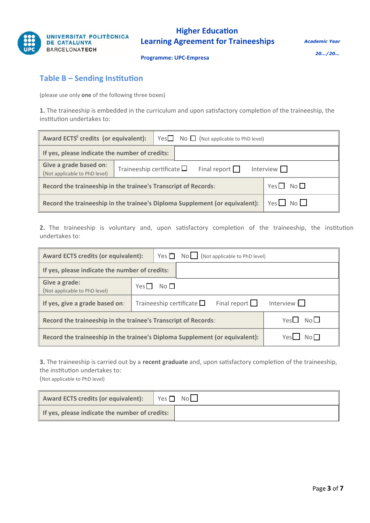

**Programme: UPC-Empresa**

### **Table B – Sending Institution**

(please use only **one** of the following three boxes)

**1.** The traineeship is embedded in the curriculum and upon satisfactory completion of the traineeship, the institution undertakes to:

| Award ECTS <sup>5</sup> credits (or equivalent):                            |                                                                              |  |  |  |
|-----------------------------------------------------------------------------|------------------------------------------------------------------------------|--|--|--|
| If yes, please indicate the number of credits:                              |                                                                              |  |  |  |
| Give a grade based on:<br>(Not applicable to PhD level)                     | Traineeship certificate $\square$<br>Final report $\Box$<br>Interview $\Box$ |  |  |  |
| Record the traineeship in the trainee's Transcript of Records:              | $Yes \Box No \Box$                                                           |  |  |  |
| Record the traineeship in the trainee's Diploma Supplement (or equivalent): | $Yes$ No                                                                     |  |  |  |

**2.** The traineeship is voluntary and, upon satisfactory completion of the traineeship, the institution undertakes to:

| <b>Award ECTS credits (or equivalent):</b>                                                                  | $Yes \fbox{\thinspace} No \fbox{\thinspace} (Not applicable to PhD level)$ |  |  |  |
|-------------------------------------------------------------------------------------------------------------|----------------------------------------------------------------------------|--|--|--|
| If yes, please indicate the number of credits:                                                              |                                                                            |  |  |  |
| Give a grade:<br>(Not applicable to PhD level)                                                              | No <sub>1</sub><br>Yes                                                     |  |  |  |
| If yes, give a grade based on:                                                                              | Final report $\Box$<br>Interview $\Box$<br>Traineeship certificate $\Box$  |  |  |  |
| Yes $\square$ No $\square$<br>Record the traineeship in the trainee's Transcript of Records:                |                                                                            |  |  |  |
| Yes <b>L</b> No <sub>L</sub><br>Record the traineeship in the trainee's Diploma Supplement (or equivalent): |                                                                            |  |  |  |

**3.** The traineeship is carried out by a **recent graduate** and, upon satisfactory completion of the traineeship, the institution undertakes to:

(Not applicable to PhD level)

| Award ECTS credits (or equivalent):            | Yes $\Box$ No $\Box$ |
|------------------------------------------------|----------------------|
| If yes, please indicate the number of credits: |                      |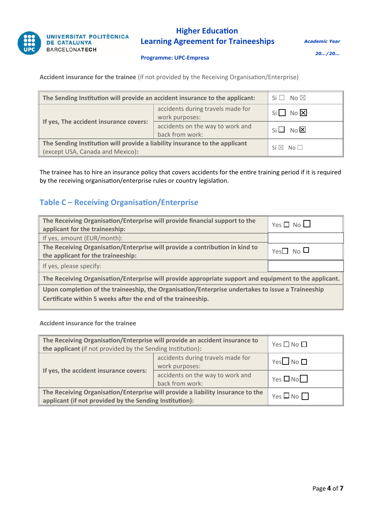

*Academic Year* 

**Programme: UPC-Empresa**

*20…/20…*

**Accident insurance for the trainee** (if not provided by the Receiving Organisation/Enterprise)

| The Sending Institution will provide an accident insurance to the applicant:                                    | $Si \Box$ No $\boxtimes$                            |                       |
|-----------------------------------------------------------------------------------------------------------------|-----------------------------------------------------|-----------------------|
| If yes, The accident insurance covers:                                                                          | accidents during travels made for<br>work purposes: | $Si$ No $X$           |
|                                                                                                                 | accidents on the way to work and<br>back from work: | $Si \Box$ No $\Sigma$ |
| The Sending Institution will provide a liability insurance to the applicant<br>(except USA, Canada and Mexico): | $Si \boxtimes No \square$                           |                       |

The trainee has to hire an insurance policy that covers accidents for the entire training period if it is required by the receiving organisation/enterprise rules or country legislation.

## **Table C – Receiving Organisation/Enterprise**

| The Receiving Organisation/Enterprise will provide financial support to the<br>applicant for the traineeship:      | $Yes \Box No \Box$         |  |  |  |  |
|--------------------------------------------------------------------------------------------------------------------|----------------------------|--|--|--|--|
| If yes, amount (EUR/month):                                                                                        |                            |  |  |  |  |
| The Receiving Organisation/Enterprise will provide a contribution in kind to<br>the applicant for the traineeship: | Yes $\square$ No $\square$ |  |  |  |  |
| If yes, please specify:                                                                                            |                            |  |  |  |  |
| The Receiving Organisation/Enterprise will provide appropriate support and equipment to the applicant.             |                            |  |  |  |  |
| Upon completion of the traineeship, the Organisation/Enterprise undertakes to issue a Traineeship                  |                            |  |  |  |  |
| Certificate within 5 weeks after the end of the traineeship.                                                       |                            |  |  |  |  |

#### **Accident insurance for the trainee**

| The Receiving Organisation/Enterprise will provide an accident insurance to<br>the applicant (if not provided by the Sending Institution): | Yes $\square$ No $\square$                          |                            |
|--------------------------------------------------------------------------------------------------------------------------------------------|-----------------------------------------------------|----------------------------|
|                                                                                                                                            | accidents during travels made for<br>work purposes: | Yes $\square$ No $\square$ |
| If yes, the accident insurance covers:                                                                                                     | accidents on the way to work and<br>back from work: | $Yes \Box No$              |
| The Receiving Organisation/Enterprise will provide a liability insurance to the<br>applicant (if not provided by the Sending Institution): | Yes $\square$ No $\square$                          |                            |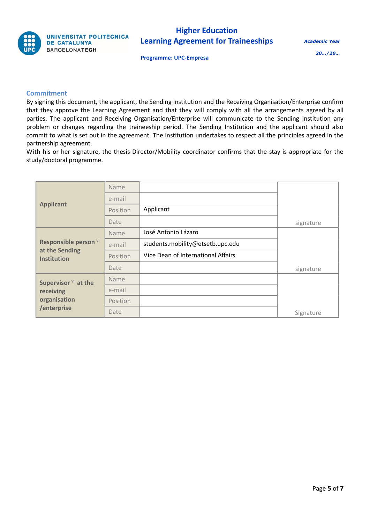

Academic Year

Programme: **UPC-Empresa**

20…/20…

#### **Commitment**

By signing this document, the applicant, the Sending Institution and the Receiving Organisation/Enterprise confirm that they approve the Learning Agreement and that they will comply with all the arrangements agreed by all parties. The applicant and Receiving Organisation/Enterprise will communicate to the Sending Institution any problem or changes regarding the traineeship period. The Sending Institution and the applicant should also commit to what is set out in the agreement. The institution undertakes to respect all the principles agreed in the partnership agreement.

With his or her signature, the thesis Director/Mobility coordinator confirms that the stay is appropriate for the study/doctoral programme.

|                                                               | Name     |                                    |           |
|---------------------------------------------------------------|----------|------------------------------------|-----------|
|                                                               | e-mail   |                                    |           |
| <b>Applicant</b>                                              | Position | Applicant                          |           |
|                                                               | Date     |                                    | signature |
|                                                               | Name     | José Antonio Lázaro                |           |
| Responsible person vi<br>at the Sending<br><b>Institution</b> | e-mail   | students.mobility@etsetb.upc.edu   |           |
|                                                               | Position | Vice Dean of International Affairs |           |
|                                                               | Date     |                                    | signature |
| Supervisor vii at the                                         | Name     |                                    |           |
| receiving                                                     | e-mail   |                                    |           |
| organisation                                                  | Position |                                    |           |
| /enterprise                                                   | Date     |                                    | Signature |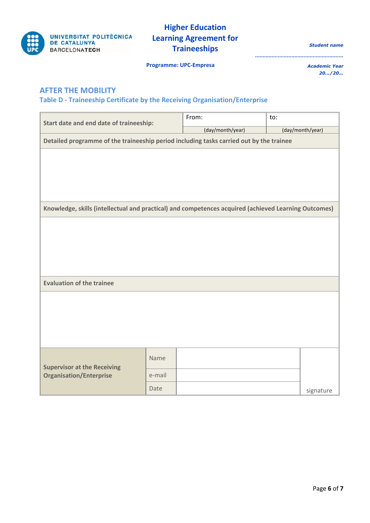

*Student name*

**Programme: UPC-Empresa**

*Academic Year 20…/20…*

*………………………………………………….*

### **AFTER THE MOBILITY**

### **Table D - Traineeship Certificate by the Receiving Organisation/Enterprise**

|                                                                                                      |        | From:            | to:              |  |  |  |
|------------------------------------------------------------------------------------------------------|--------|------------------|------------------|--|--|--|
| Start date and end date of traineeship:                                                              |        | (day/month/year) | (day/month/year) |  |  |  |
| Detailed programme of the traineeship period including tasks carried out by the trainee              |        |                  |                  |  |  |  |
|                                                                                                      |        |                  |                  |  |  |  |
|                                                                                                      |        |                  |                  |  |  |  |
|                                                                                                      |        |                  |                  |  |  |  |
|                                                                                                      |        |                  |                  |  |  |  |
| Knowledge, skills (intellectual and practical) and competences acquired (achieved Learning Outcomes) |        |                  |                  |  |  |  |
|                                                                                                      |        |                  |                  |  |  |  |
|                                                                                                      |        |                  |                  |  |  |  |
|                                                                                                      |        |                  |                  |  |  |  |
|                                                                                                      |        |                  |                  |  |  |  |
|                                                                                                      |        |                  |                  |  |  |  |
| <b>Evaluation of the trainee</b>                                                                     |        |                  |                  |  |  |  |
|                                                                                                      |        |                  |                  |  |  |  |
|                                                                                                      |        |                  |                  |  |  |  |
|                                                                                                      |        |                  |                  |  |  |  |
|                                                                                                      |        |                  |                  |  |  |  |
|                                                                                                      |        |                  |                  |  |  |  |
| <b>Supervisor at the Receiving</b>                                                                   | Name   |                  |                  |  |  |  |
| <b>Organisation/Enterprise</b>                                                                       | e-mail |                  |                  |  |  |  |
|                                                                                                      | Date   |                  | signature        |  |  |  |